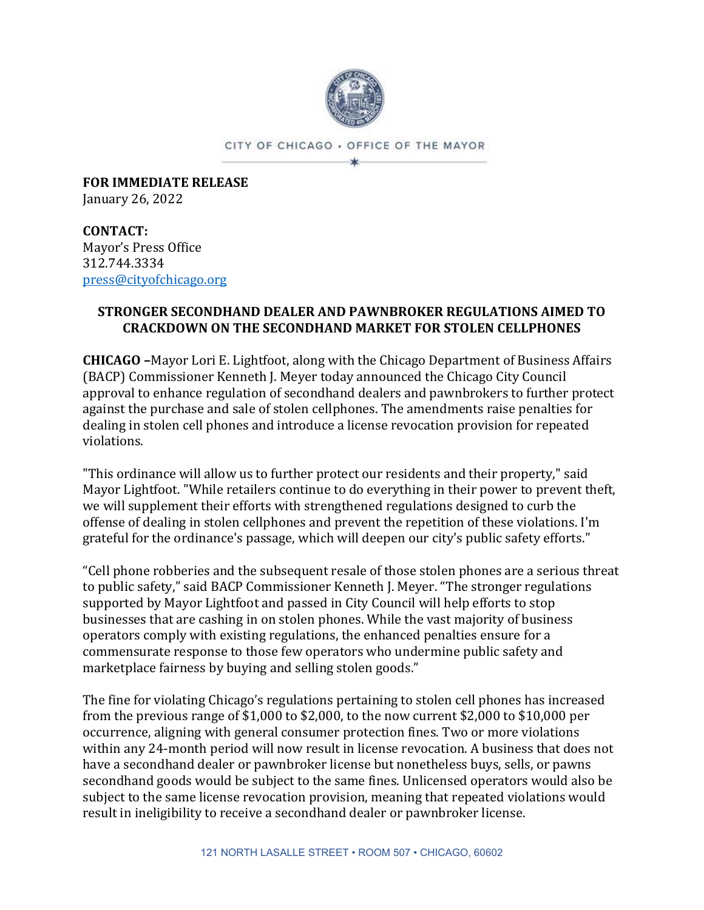

CITY OF CHICAGO . OFFICE OF THE MAYOR ×

**FOR IMMEDIATE RELEASE** January 26, 2022

**CONTACT:** Mayor's Press Office 312.744.3334 [press@cityofchicago.org](mailto:press@cityofchicago.org)

## **STRONGER SECONDHAND DEALER AND PAWNBROKER REGULATIONS AIMED TO CRACKDOWN ON THE SECONDHAND MARKET FOR STOLEN CELLPHONES**

**CHICAGO –**Mayor Lori E. Lightfoot, along with the Chicago Department of Business Affairs (BACP) Commissioner Kenneth J. Meyer today announced the Chicago City Council approval to enhance regulation of secondhand dealers and pawnbrokers to further protect against the purchase and sale of stolen cellphones. The amendments raise penalties for dealing in stolen cell phones and introduce a license revocation provision for repeated violations.

"This ordinance will allow us to further protect our residents and their property," said Mayor Lightfoot. "While retailers continue to do everything in their power to prevent theft, we will supplement their efforts with strengthened regulations designed to curb the offense of dealing in stolen cellphones and prevent the repetition of these violations. I'm grateful for the ordinance's passage, which will deepen our city's public safety efforts."

"Cell phone robberies and the subsequent resale of those stolen phones are a serious threat to public safety," said BACP Commissioner Kenneth J. Meyer. "The stronger regulations supported by Mayor Lightfoot and passed in City Council will help efforts to stop businesses that are cashing in on stolen phones. While the vast majority of business operators comply with existing regulations, the enhanced penalties ensure for a commensurate response to those few operators who undermine public safety and marketplace fairness by buying and selling stolen goods."

The fine for violating Chicago's regulations pertaining to stolen cell phones has increased from the previous range of \$1,000 to \$2,000, to the now current \$2,000 to \$10,000 per occurrence, aligning with general consumer protection fines. Two or more violations within any 24-month period will now result in license revocation. A business that does not have a secondhand dealer or pawnbroker license but nonetheless buys, sells, or pawns secondhand goods would be subject to the same fines. Unlicensed operators would also be subject to the same license revocation provision, meaning that repeated violations would result in ineligibility to receive a secondhand dealer or pawnbroker license.